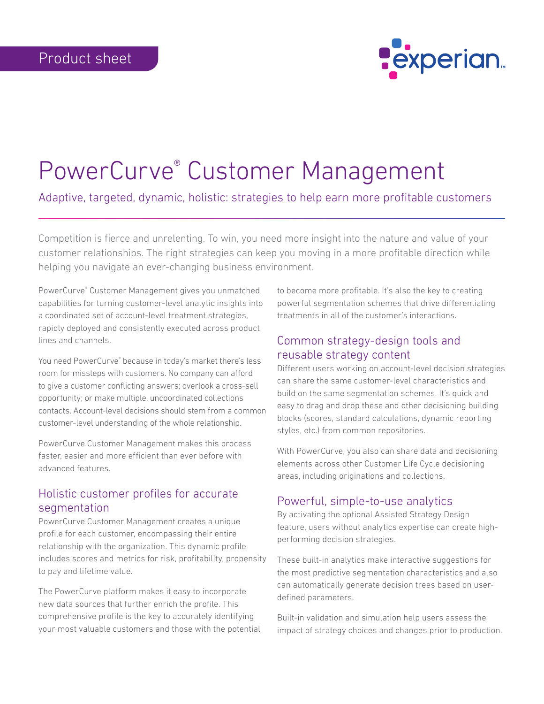

# PowerCurve® Customer Management

Adaptive, targeted, dynamic, holistic: strategies to help earn more profitable customers

Competition is fierce and unrelenting. To win, you need more insight into the nature and value of your customer relationships. The right strategies can keep you moving in a more profitable direction while helping you navigate an ever-changing business environment.

PowerCurve® Customer Management gives you unmatched capabilities for turning customer-level analytic insights into a coordinated set of account-level treatment strategies, rapidly deployed and consistently executed across product lines and channels.

You need PowerCurve® because in today's market there's less room for missteps with customers. No company can afford to give a customer conflicting answers; overlook a cross-sell opportunity; or make multiple, uncoordinated collections contacts. Account-level decisions should stem from a common customer-level understanding of the whole relationship.

PowerCurve Customer Management makes this process faster, easier and more efficient than ever before with advanced features.

## Holistic customer profiles for accurate segmentation

PowerCurve Customer Management creates a unique profile for each customer, encompassing their entire relationship with the organization. This dynamic profile includes scores and metrics for risk, profitability, propensity to pay and lifetime value.

The PowerCurve platform makes it easy to incorporate new data sources that further enrich the profile. This comprehensive profile is the key to accurately identifying your most valuable customers and those with the potential to become more profitable. It's also the key to creating powerful segmentation schemes that drive differentiating treatments in all of the customer's interactions.

## Common strategy-design tools and reusable strategy content

Different users working on account-level decision strategies can share the same customer-level characteristics and build on the same segmentation schemes. It's quick and easy to drag and drop these and other decisioning building blocks (scores, standard calculations, dynamic reporting styles, etc.) from common repositories.

With PowerCurve, you also can share data and decisioning elements across other Customer Life Cycle decisioning areas, including originations and collections.

#### Powerful, simple-to-use analytics

By activating the optional Assisted Strategy Design feature, users without analytics expertise can create highperforming decision strategies.

These built-in analytics make interactive suggestions for the most predictive segmentation characteristics and also can automatically generate decision trees based on userdefined parameters.

Built-in validation and simulation help users assess the impact of strategy choices and changes prior to production.